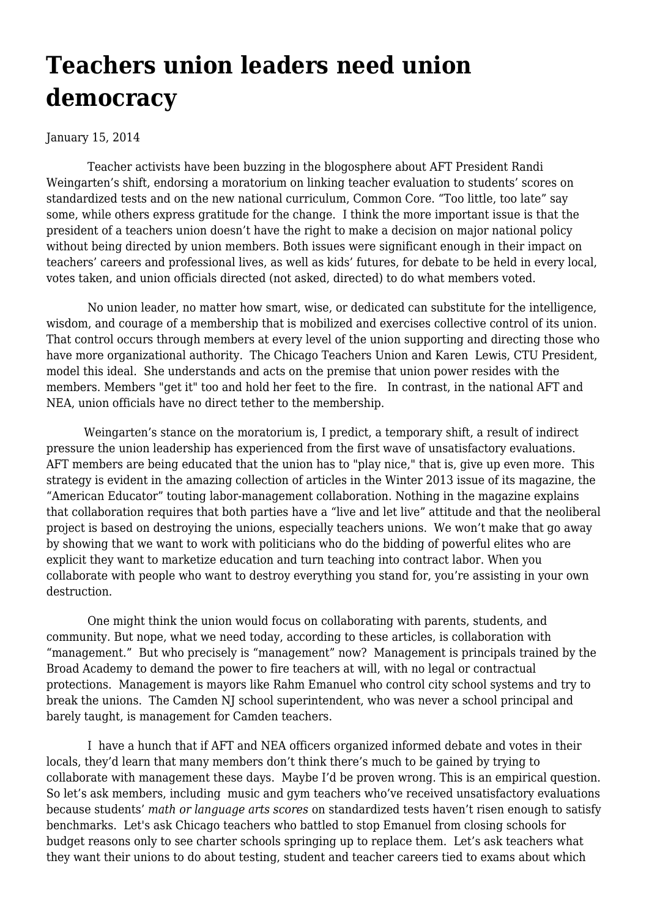## **[Teachers union leaders need union](https://newpol.org/teachers-union-leaders-need-union-democracy/) [democracy](https://newpol.org/teachers-union-leaders-need-union-democracy/)**

## January 15, 2014

 Teacher activists have been buzzing in the blogosphere about AFT President Randi Weingarten's shift, endorsing a moratorium on linking teacher evaluation to students' scores on standardized tests and on the new national curriculum, Common Core. "Too little, too late" say some, while others express gratitude for the change. I think the more important issue is that the president of a teachers union doesn't have the right to make a decision on major national policy without being directed by union members. Both issues were significant enough in their impact on teachers' careers and professional lives, as well as kids' futures, for debate to be held in every local, votes taken, and union officials directed (not asked, directed) to do what members voted.

 No union leader, no matter how smart, wise, or dedicated can substitute for the intelligence, wisdom, and courage of a membership that is mobilized and exercises collective control of its union. That control occurs through members at every level of the union supporting and directing those who have more organizational authority. The Chicago Teachers Union and Karen Lewis, CTU President, model this ideal. She understands and acts on the premise that union power resides with the members. Members "get it" too and hold her feet to the fire. In contrast, in the national AFT and NEA, union officials have no direct tether to the membership.

 Weingarten's stance on the moratorium is, I predict, a temporary shift, a result of indirect pressure the union leadership has experienced from the first wave of unsatisfactory evaluations. AFT members are being educated that the union has to "play nice," that is, give up even more. This strategy is evident in the amazing collection of articles in the [Winter 2013 issue of its magazine, the](http://www.aft.org/pdfs/americaneducator/winter1314/ednote.pdf) ["American Educator"](http://www.aft.org/pdfs/americaneducator/winter1314/ednote.pdf) touting labor-management collaboration. Nothing in the magazine explains that collaboration requires that both parties have a "live and let live" attitude and that the neoliberal project is based on destroying the unions, especially teachers unions. We won't make that go away by showing that we want to work with politicians who do the bidding of powerful elites who are explicit they want to marketize education and turn teaching into contract labor. When you collaborate with people who want to destroy everything you stand for, you're assisting in your own destruction.

 One might think the union would focus on collaborating with parents, students, and community. But nope, what we need today, according to these articles, is collaboration with "management." But who precisely is "management" now? Management is principals trained by the Broad Academy to demand the power to fire teachers at will, with no legal or contractual protections. Management is mayors like Rahm Emanuel who control city school systems and try to break the unions. [The Camden NJ school superintendent,](http://articles.philly.com/2013-08-28/news/41500806_1_new-superintendent-reuben-mills-paymon-rouhanifard) who was never a school principal and barely taught, is management for Camden teachers.

 I have a hunch that if AFT and NEA officers organized informed debate and votes in their locals, they'd learn that many members don't think there's much to be gained by trying to collaborate with management these days. Maybe I'd be proven wrong. This is an empirical question. So let's ask members, including music and gym teachers who've received unsatisfactory evaluations because students' *math or language arts scores* on standardized tests haven't risen enough to satisfy benchmarks. Let's ask Chicago teachers who battled to stop Emanuel from closing schools for budget reasons only to see charter schools springing up to replace them. Let's ask teachers what they want their unions to do about testing, student and teacher careers tied to exams about which